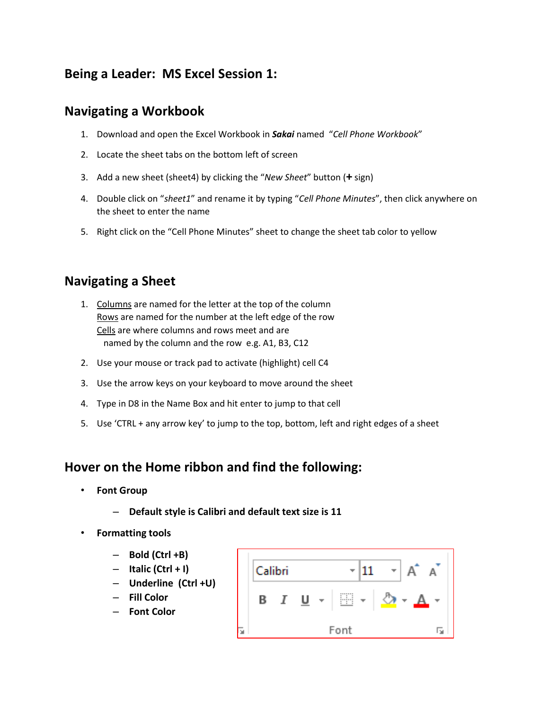# **Being a Leader: MS Excel Session 1:**

### **Navigating a Workbook**

- 1. Download and open the Excel Workbook in *Sakai* named "*Cell Phone Workbook*"
- 2. Locate the sheet tabs on the bottom left of screen
- 3. Add a new sheet (sheet4) by clicking the "*New Sheet*" button (**+** sign)
- 4. Double click on "*sheet1*" and rename it by typing "*Cell Phone Minutes*", then click anywhere on the sheet to enter the name
- 5. Right click on the "Cell Phone Minutes" sheet to change the sheet tab color to yellow

#### **Navigating a Sheet**

- 1. Columns are named for the letter at the top of the column Rows are named for the number at the left edge of the row Cells are where columns and rows meet and are named by the column and the row e.g. A1, B3, C12
- 2. Use your mouse or track pad to activate (highlight) cell C4
- 3. Use the arrow keys on your keyboard to move around the sheet
- 4. Type in D8 in the Name Box and hit enter to jump to that cell
- 5. Use 'CTRL + any arrow key' to jump to the top, bottom, left and right edges of a sheet

#### **Hover on the Home ribbon and find the following:**

- **Font Group**
	- **Default style is Calibri and default text size is 11**
- **Formatting tools**
	- **Bold (Ctrl +B)**
	- **Italic (Ctrl + I)**
	- **Underline (Ctrl +U)**
	- **Fill Color**
	- **Font Color**

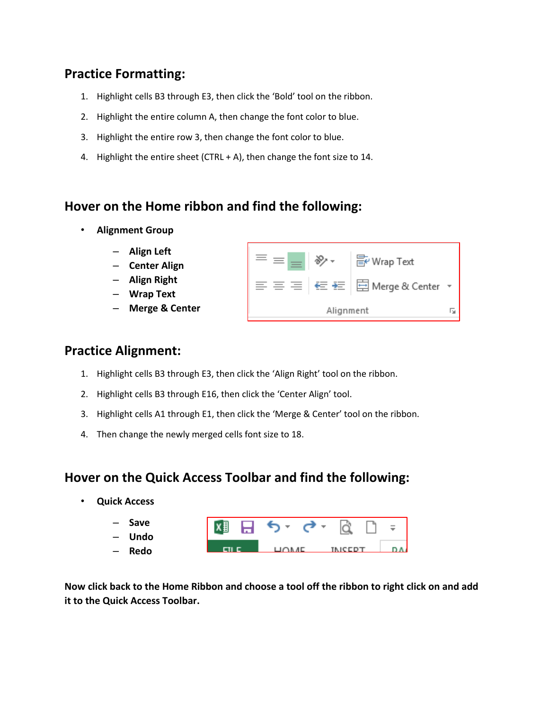## **Practice Formatting:**

- 1. Highlight cells B3 through E3, then click the 'Bold' tool on the ribbon.
- 2. Highlight the entire column A, then change the font color to blue.
- 3. Highlight the entire row 3, then change the font color to blue.
- 4. Highlight the entire sheet (CTRL + A), then change the font size to 14.

#### **Hover on the Home ribbon and find the following:**

- **Alignment Group**
	- **Align Left**
	- **Center Align**
	- **Align Right**
	- **Wrap Text**
	- **Merge & Center**



#### **Practice Alignment:**

- 1. Highlight cells B3 through E3, then click the 'Align Right' tool on the ribbon.
- 2. Highlight cells B3 through E16, then click the 'Center Align' tool.
- 3. Highlight cells A1 through E1, then click the 'Merge & Center' tool on the ribbon.
- 4. Then change the newly merged cells font size to 18.

#### **Hover on the Quick Access Toolbar and find the following:**

• **Quick Access**

| Save<br>$\overline{\phantom{0}}$<br>– Undo |  |  | 【XD 日 ち・ ♂ ~ la li |  |               |  | $\equiv$ |
|--------------------------------------------|--|--|--------------------|--|---------------|--|----------|
| – Redo                                     |  |  | LIOM AE.           |  | <b>IMCCDT</b> |  |          |

**Now click back to the Home Ribbon and choose a tool off the ribbon to right click on and add it to the Quick Access Toolbar.**